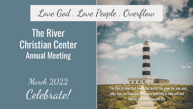# Love God . Love People . Overflow

The River Christian Center Annual Meeting

# March 2022 Celebrate!

 "For this is how God loved the world: He gave his one and only Son, so that everyone who believes in him will not perish but have eternal life.

John 3:16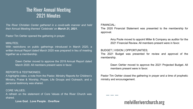### The River Annual Meeting 2021 Minutes

*The River Christian Center gathered in a covid-safe manner and held their Annual Meeting themed 'Celebrate' on March 21, 2021.*

Pastor Tim Oehler opened the gathering in prayer.

#### MINUTES;

With restrictions on public gatherings introduced in March 2020, a written Annual Report dated March 2020 was prepared in lieu of meeting together as a membership.

> Dawn Oehler moved to approve the 2019 Annual Report dated March 2020. All members present were in favor.

#### REPORTS & TESTIMONIES;

A highlights video, a note from the Pastor, Ministry Reports for Children's Ministry, Praise & Worship, Prayer, Life Groups and Outreach, and a personal testimony was shared.

#### CORE VALUES;

A refresh on the statement of Core Values of the River Church was shared.

**Love God . Love People . Overflow**

#### FINANCIAL;

The 2020 Financial Statement was presented to the membership for approval.

> Amy Poole moved to appoint Miller & Company as auditor for the 2021 Financial Review. All members present were in favor.

#### BUDGET | VISION | OPPORTUNITIES;

The 2021 Budget was presented for review and approval of the membership.

> Dawn Oehler moved to approve the 2021 Projected Budget. All members present were in favor.

Pastor Tim Oehler closed the gathering in prayer and a time of prophetic ministry and encouragement.

### melvilleriverchurch.org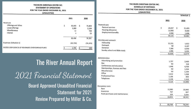#### THE RIVER CHRISTIAN CENTER INC. **STATEMENT OF OPERATIONS** FOR THE YEAR ENDED DECEMBER 31, 2021 (UNAUDITED)

|                                                   | 2021         |   | 2020      |
|---------------------------------------------------|--------------|---|-----------|
| Revenues                                          |              |   |           |
| Offerings and tithes                              | \$<br>83,493 | s | 73,403    |
| Loose offerings                                   | 1,989        |   | 2,134     |
| Miscellaneous                                     | 12           |   | 729       |
| Interest                                          | 4            |   | 15        |
|                                                   | 85,498       |   | 76,281    |
| Expenses (Schedule 1)                             | (83, 708)    |   | (76, 370) |
| EXCESS (DEFICIENCY) OF REVENUES OVER EXPENDITURES | 1,790        |   | (89)      |

## The River Annual Report

2021 Financial Statement Board Approved Unaudited Financial Statement for 2021 Review Prepared by Miller & Co.

#### THE RIVER CHRISTIAN CENTER INC. **SCHEDULE OF EXPENSES** FOR THE YEAR ENDED DECEMBER 31, 2021

(UNAUDITED)

|                                 |               | Schedule ;   |
|---------------------------------|---------------|--------------|
|                                 | 2021          | 2020         |
| Pastoral care                   |               |              |
| Pastoral services               | \$<br>24,557  | s<br>21,455  |
| Housing allowance               | 12,000        | 9,600        |
| <b>Employment benefits</b>      | 2,566         | 1,606        |
|                                 | 39,123        | 32,661       |
| Worship and outreach            |               |              |
| Fellowship                      | 12,231        | 1,022        |
| Outreach                        | Nil           | 4,197        |
| Donation                        | 7,388         | 6,000        |
| Sunday school and Bible study   | 1,996         | 2,255        |
|                                 | 21,615        | 13,474       |
| Administration                  |               |              |
| Advertising and promotion       | 1,737         | 2,469        |
| Bus                             | Nil           | 118          |
| Conferences and education       | 1,646         | 4,709        |
| Memberships, licenses and fees  | Nil           | 1,534        |
| Miscellaneous                   | Nil           | 1,154        |
| Office                          | 2,412         | 1,558        |
| Professional fees               | 1,166         | 833          |
| Telephone                       | 2,158         | 1,319        |
|                                 | 9,119         | 13,694       |
| Occupancy costs                 |               |              |
| Rent                            | 12,980        | 10,840       |
| Insurance                       | 767           | 667          |
| Asset purchases and maintenance | 104           | 5,034        |
|                                 | 13,851        | 16,541       |
|                                 |               |              |
|                                 | \$.<br>83,708 | \$<br>76,370 |